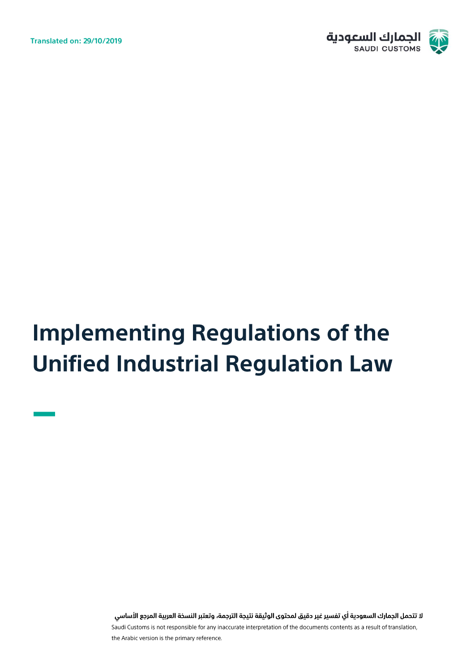**Translated on: 29/10/2019** 



# **Implementing Regulations of the Unified Industrial Regulation Law**

لا تتحمل الجمارك السعودية أي تفسير غير دقيق لمحتوى الوثيقة نتيجة الترجمة، وتعتبر النسخة العربية المرجع الأساسي Saudi Customs is not responsible for any inaccurate interpretation of the documents contents as a result of translation, the Arabic version is the primary reference.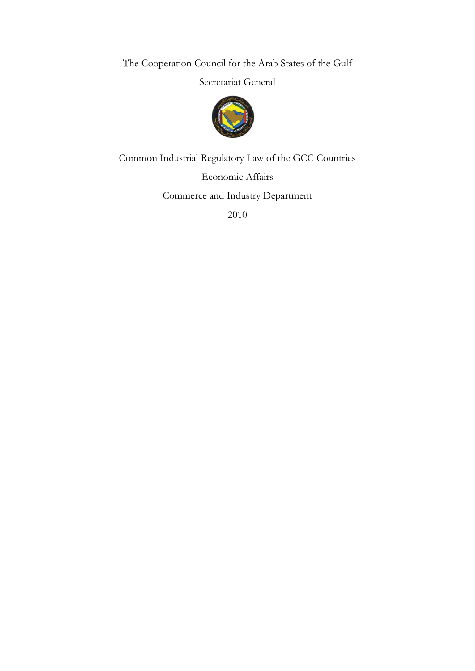The Cooperation Council for the Arab States of the Gulf

Secretariat General



Common Industrial Regulatory Law of the GCC Countries

Economic Affairs

Commerce and Industry Department

2010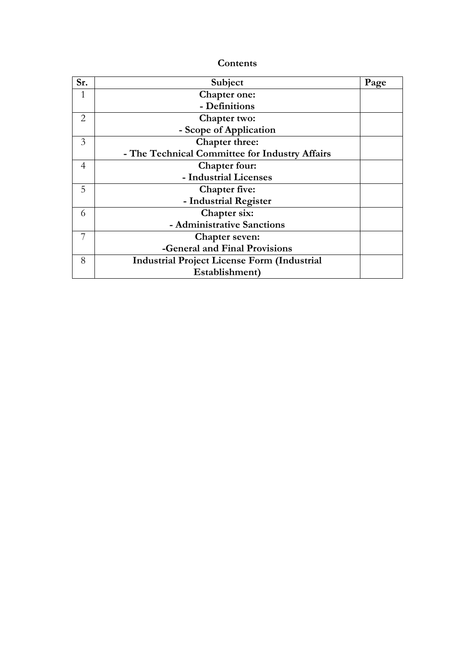| Contents |
|----------|
|----------|

| Sr. | Subject                                            | Page |
|-----|----------------------------------------------------|------|
|     | <b>Chapter one:</b>                                |      |
|     | - Definitions                                      |      |
| 2   | Chapter two:                                       |      |
|     | - Scope of Application                             |      |
| 3   | Chapter three:                                     |      |
|     | - The Technical Committee for Industry Affairs     |      |
| 4   | Chapter four:                                      |      |
|     | - Industrial Licenses                              |      |
| 5   | <b>Chapter five:</b>                               |      |
|     | - Industrial Register                              |      |
| 6   | Chapter six:                                       |      |
|     | - Administrative Sanctions                         |      |
| 7   | <b>Chapter seven:</b>                              |      |
|     | -General and Final Provisions                      |      |
| 8   | <b>Industrial Project License Form (Industrial</b> |      |
|     | Establishment)                                     |      |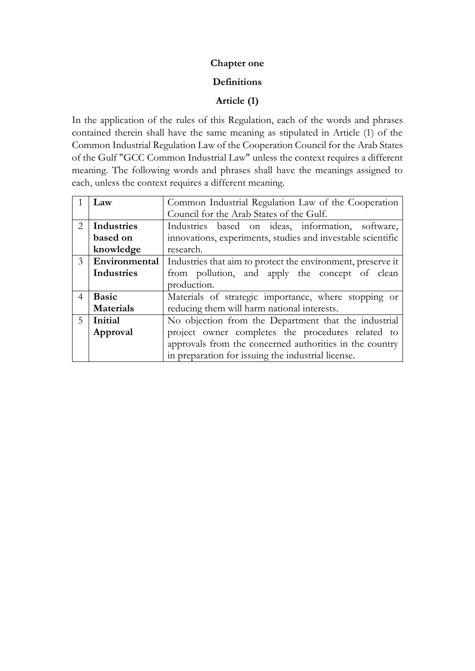# **Chapter one**

## **Definitions**

# **Article (1)**

In the application of the rules of this Regulation, each of the words and phrases contained therein shall have the same meaning as stipulated in Article (1) of the Common Industrial Regulation Law of the Cooperation Council for the Arab States of the Gulf "GCC Common Industrial Law" unless the context requires a different meaning. The following words and phrases shall have the meanings assigned to each, unless the context requires a different meaning.

|                | Law               | Common Industrial Regulation Law of the Cooperation         |  |  |
|----------------|-------------------|-------------------------------------------------------------|--|--|
|                |                   | Council for the Arab States of the Gulf.                    |  |  |
| 2              | <b>Industries</b> | Industries based on ideas, information, software,           |  |  |
|                | based on          | innovations, experiments, studies and investable scientific |  |  |
|                | knowledge         | research.                                                   |  |  |
| 3              | Environmental     | Industries that aim to protect the environment, preserve it |  |  |
|                | Industries        | from pollution, and apply the concept of clean              |  |  |
|                |                   | production.                                                 |  |  |
| $\overline{4}$ | <b>Basic</b>      | Materials of strategic importance, where stopping or        |  |  |
|                | <b>Materials</b>  | reducing them will harm national interests.                 |  |  |
| .5             | Initial           | No objection from the Department that the industrial        |  |  |
|                | Approval          | project owner completes the procedures related to           |  |  |
|                |                   | approvals from the concerned authorities in the country     |  |  |
|                |                   | in preparation for issuing the industrial license.          |  |  |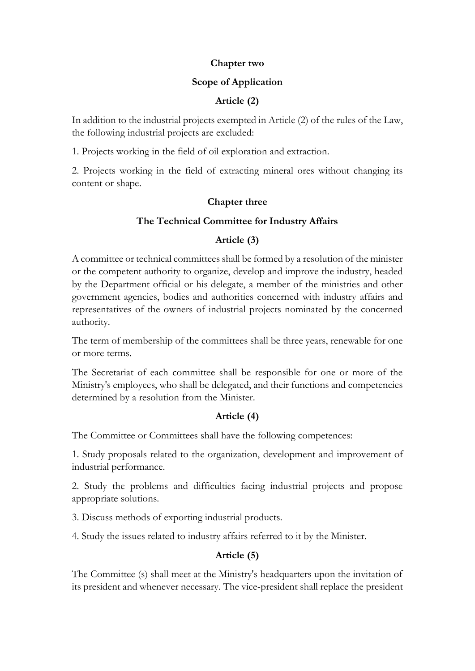#### **Chapter two**

## **Scope of Application**

# **Article (2)**

In addition to the industrial projects exempted in Article (2) of the rules of the Law, the following industrial projects are excluded:

1. Projects working in the field of oil exploration and extraction.

2. Projects working in the field of extracting mineral ores without changing its content or shape.

## **Chapter three**

# **The Technical Committee for Industry Affairs**

# **Article (3)**

A committee or technical committees shall be formed by a resolution of the minister or the competent authority to organize, develop and improve the industry, headed by the Department official or his delegate, a member of the ministries and other government agencies, bodies and authorities concerned with industry affairs and representatives of the owners of industrial projects nominated by the concerned authority.

The term of membership of the committees shall be three years, renewable for one or more terms.

The Secretariat of each committee shall be responsible for one or more of the Ministry's employees, who shall be delegated, and their functions and competencies determined by a resolution from the Minister.

# **Article (4)**

The Committee or Committees shall have the following competences:

1. Study proposals related to the organization, development and improvement of industrial performance.

2. Study the problems and difficulties facing industrial projects and propose appropriate solutions.

3. Discuss methods of exporting industrial products.

4. Study the issues related to industry affairs referred to it by the Minister.

# **Article (5)**

The Committee (s) shall meet at the Ministry's headquarters upon the invitation of its president and whenever necessary. The vice-president shall replace the president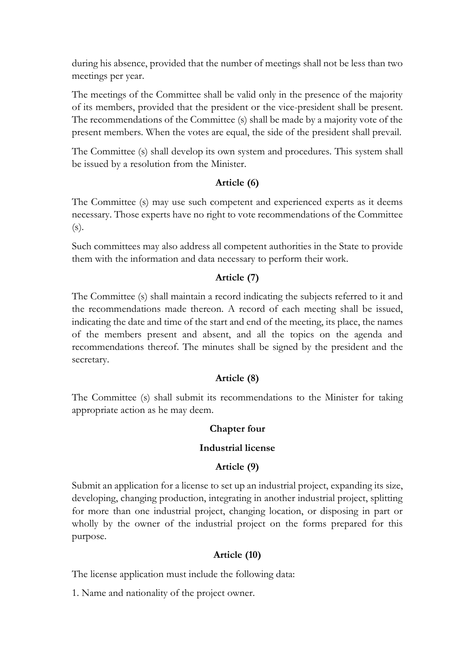during his absence, provided that the number of meetings shall not be less than two meetings per year.

The meetings of the Committee shall be valid only in the presence of the majority of its members, provided that the president or the vice-president shall be present. The recommendations of the Committee (s) shall be made by a majority vote of the present members. When the votes are equal, the side of the president shall prevail.

The Committee (s) shall develop its own system and procedures. This system shall be issued by a resolution from the Minister.

# **Article (6)**

The Committee (s) may use such competent and experienced experts as it deems necessary. Those experts have no right to vote recommendations of the Committee (s).

Such committees may also address all competent authorities in the State to provide them with the information and data necessary to perform their work.

# **Article (7)**

The Committee (s) shall maintain a record indicating the subjects referred to it and the recommendations made thereon. A record of each meeting shall be issued, indicating the date and time of the start and end of the meeting, its place, the names of the members present and absent, and all the topics on the agenda and recommendations thereof. The minutes shall be signed by the president and the secretary.

# **Article (8)**

The Committee (s) shall submit its recommendations to the Minister for taking appropriate action as he may deem.

# **Chapter four**

# **Industrial license**

# **Article (9)**

Submit an application for a license to set up an industrial project, expanding its size, developing, changing production, integrating in another industrial project, splitting for more than one industrial project, changing location, or disposing in part or wholly by the owner of the industrial project on the forms prepared for this purpose.

# **Article (10)**

The license application must include the following data:

1. Name and nationality of the project owner.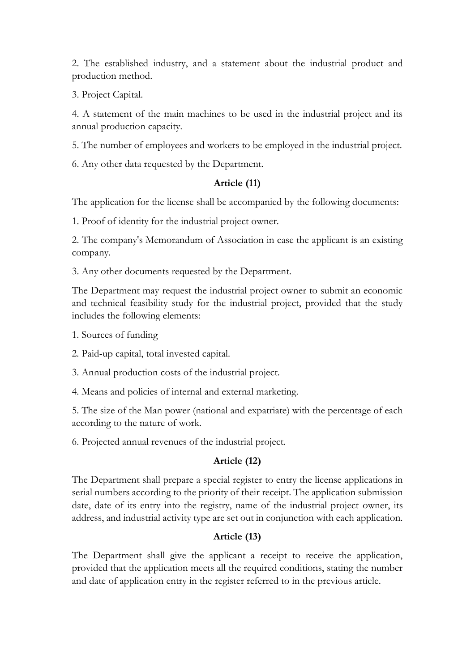2. The established industry, and a statement about the industrial product and production method.

3. Project Capital.

4. A statement of the main machines to be used in the industrial project and its annual production capacity.

5. The number of employees and workers to be employed in the industrial project.

6. Any other data requested by the Department.

# **Article (11)**

The application for the license shall be accompanied by the following documents:

1. Proof of identity for the industrial project owner.

2. The company's Memorandum of Association in case the applicant is an existing company.

3. Any other documents requested by the Department.

The Department may request the industrial project owner to submit an economic and technical feasibility study for the industrial project, provided that the study includes the following elements:

1. Sources of funding

2. Paid-up capital, total invested capital.

3. Annual production costs of the industrial project.

4. Means and policies of internal and external marketing.

5. The size of the Man power (national and expatriate) with the percentage of each according to the nature of work.

6. Projected annual revenues of the industrial project.

# **Article (12)**

The Department shall prepare a special register to entry the license applications in serial numbers according to the priority of their receipt. The application submission date, date of its entry into the registry, name of the industrial project owner, its address, and industrial activity type are set out in conjunction with each application.

# **Article (13)**

The Department shall give the applicant a receipt to receive the application, provided that the application meets all the required conditions, stating the number and date of application entry in the register referred to in the previous article.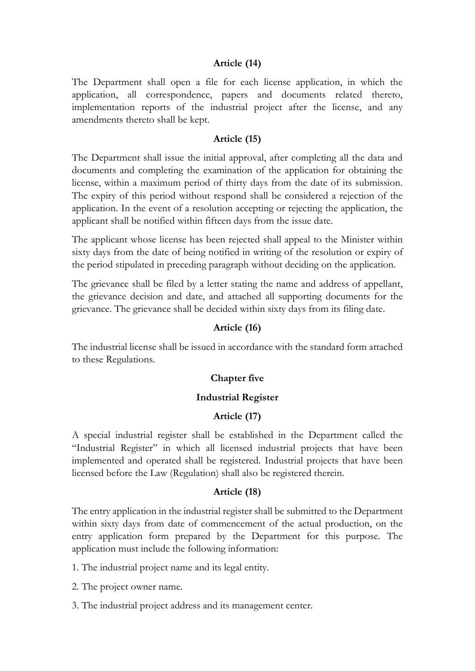### **Article (14)**

The Department shall open a file for each license application, in which the application, all correspondence, papers and documents related thereto, implementation reports of the industrial project after the license, and any amendments thereto shall be kept.

#### **Article (15)**

The Department shall issue the initial approval, after completing all the data and documents and completing the examination of the application for obtaining the license, within a maximum period of thirty days from the date of its submission. The expiry of this period without respond shall be considered a rejection of the application. In the event of a resolution accepting or rejecting the application, the applicant shall be notified within fifteen days from the issue date.

The applicant whose license has been rejected shall appeal to the Minister within sixty days from the date of being notified in writing of the resolution or expiry of the period stipulated in preceding paragraph without deciding on the application.

The grievance shall be filed by a letter stating the name and address of appellant, the grievance decision and date, and attached all supporting documents for the grievance. The grievance shall be decided within sixty days from its filing date.

#### **Article (16)**

The industrial license shall be issued in accordance with the standard form attached to these Regulations.

#### **Chapter five**

#### **Industrial Register**

#### **Article (17)**

A special industrial register shall be established in the Department called the "Industrial Register" in which all licensed industrial projects that have been implemented and operated shall be registered. Industrial projects that have been licensed before the Law (Regulation) shall also be registered therein.

#### **Article (18)**

The entry application in the industrial register shall be submitted to the Department within sixty days from date of commencement of the actual production, on the entry application form prepared by the Department for this purpose. The application must include the following information:

1. The industrial project name and its legal entity.

2. The project owner name.

3. The industrial project address and its management center.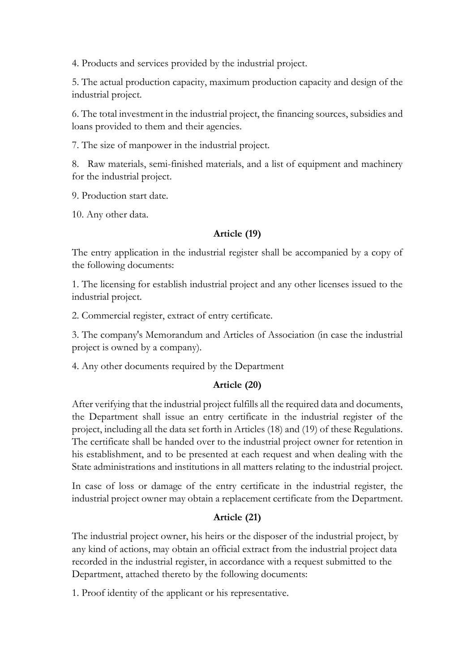4. Products and services provided by the industrial project.

5. The actual production capacity, maximum production capacity and design of the industrial project.

6. The total investment in the industrial project, the financing sources, subsidies and loans provided to them and their agencies.

7. The size of manpower in the industrial project.

8. Raw materials, semi-finished materials, and a list of equipment and machinery for the industrial project.

9. Production start date.

10. Any other data.

# **Article (19)**

The entry application in the industrial register shall be accompanied by a copy of the following documents:

1. The licensing for establish industrial project and any other licenses issued to the industrial project.

2. Commercial register, extract of entry certificate.

3. The company's Memorandum and Articles of Association (in case the industrial project is owned by a company).

4. Any other documents required by the Department

# **Article (20)**

After verifying that the industrial project fulfills all the required data and documents, the Department shall issue an entry certificate in the industrial register of the project, including all the data set forth in Articles (18) and (19) of these Regulations. The certificate shall be handed over to the industrial project owner for retention in his establishment, and to be presented at each request and when dealing with the State administrations and institutions in all matters relating to the industrial project.

In case of loss or damage of the entry certificate in the industrial register, the industrial project owner may obtain a replacement certificate from the Department.

# **Article (21)**

The industrial project owner, his heirs or the disposer of the industrial project, by any kind of actions, may obtain an official extract from the industrial project data recorded in the industrial register, in accordance with a request submitted to the Department, attached thereto by the following documents:

1. Proof identity of the applicant or his representative.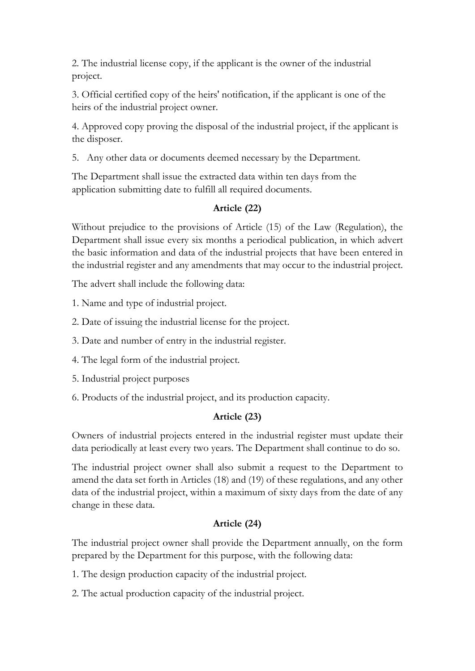2. The industrial license copy, if the applicant is the owner of the industrial project.

3. Official certified copy of the heirs' notification, if the applicant is one of the heirs of the industrial project owner.

4. Approved copy proving the disposal of the industrial project, if the applicant is the disposer.

5. Any other data or documents deemed necessary by the Department.

The Department shall issue the extracted data within ten days from the application submitting date to fulfill all required documents.

# **Article (22)**

Without prejudice to the provisions of Article (15) of the Law (Regulation), the Department shall issue every six months a periodical publication, in which advert the basic information and data of the industrial projects that have been entered in the industrial register and any amendments that may occur to the industrial project.

The advert shall include the following data:

1. Name and type of industrial project.

2. Date of issuing the industrial license for the project.

3. Date and number of entry in the industrial register.

4. The legal form of the industrial project.

5. Industrial project purposes

6. Products of the industrial project, and its production capacity.

# **Article (23)**

Owners of industrial projects entered in the industrial register must update their data periodically at least every two years. The Department shall continue to do so.

The industrial project owner shall also submit a request to the Department to amend the data set forth in Articles (18) and (19) of these regulations, and any other data of the industrial project, within a maximum of sixty days from the date of any change in these data.

# **Article (24)**

The industrial project owner shall provide the Department annually, on the form prepared by the Department for this purpose, with the following data:

1. The design production capacity of the industrial project.

2. The actual production capacity of the industrial project.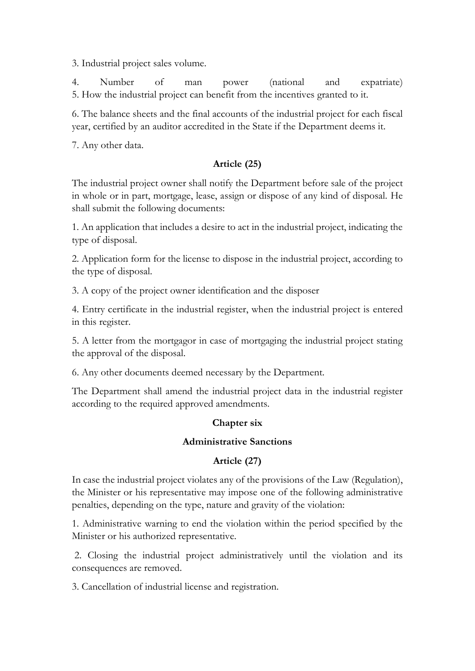3. Industrial project sales volume.

4. Number of man power (national and expatriate) 5. How the industrial project can benefit from the incentives granted to it.

6. The balance sheets and the final accounts of the industrial project for each fiscal year, certified by an auditor accredited in the State if the Department deems it.

7. Any other data.

# **Article (25)**

The industrial project owner shall notify the Department before sale of the project in whole or in part, mortgage, lease, assign or dispose of any kind of disposal. He shall submit the following documents:

1. An application that includes a desire to act in the industrial project, indicating the type of disposal.

2. Application form for the license to dispose in the industrial project, according to the type of disposal.

3. A copy of the project owner identification and the disposer

4. Entry certificate in the industrial register, when the industrial project is entered in this register.

5. A letter from the mortgagor in case of mortgaging the industrial project stating the approval of the disposal.

6. Any other documents deemed necessary by the Department.

The Department shall amend the industrial project data in the industrial register according to the required approved amendments.

# **Chapter six**

# **Administrative Sanctions**

# **Article (27)**

In case the industrial project violates any of the provisions of the Law (Regulation), the Minister or his representative may impose one of the following administrative penalties, depending on the type, nature and gravity of the violation:

1. Administrative warning to end the violation within the period specified by the Minister or his authorized representative.

2. Closing the industrial project administratively until the violation and its consequences are removed.

3. Cancellation of industrial license and registration.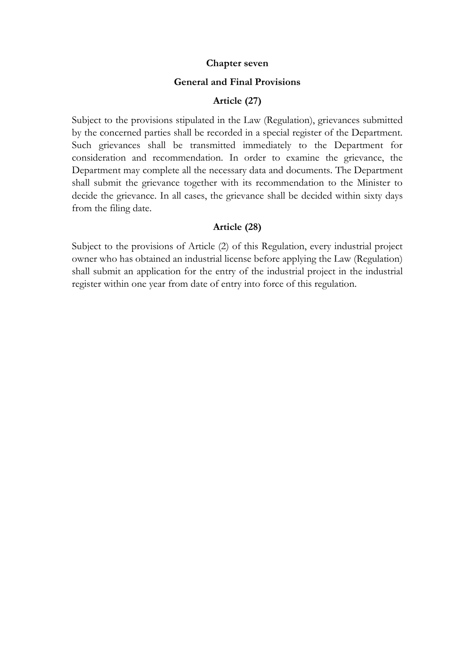#### **Chapter seven**

#### **General and Final Provisions**

#### **Article (27)**

Subject to the provisions stipulated in the Law (Regulation), grievances submitted by the concerned parties shall be recorded in a special register of the Department. Such grievances shall be transmitted immediately to the Department for consideration and recommendation. In order to examine the grievance, the Department may complete all the necessary data and documents. The Department shall submit the grievance together with its recommendation to the Minister to decide the grievance. In all cases, the grievance shall be decided within sixty days from the filing date.

#### **Article (28)**

Subject to the provisions of Article (2) of this Regulation, every industrial project owner who has obtained an industrial license before applying the Law (Regulation) shall submit an application for the entry of the industrial project in the industrial register within one year from date of entry into force of this regulation.